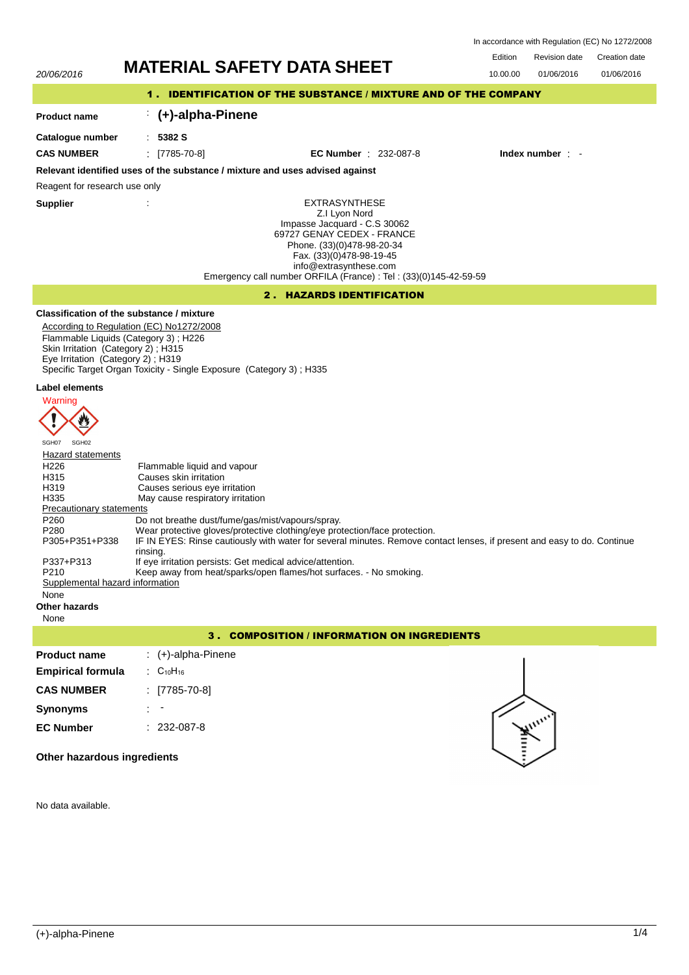|         | In accordance with Regulation (EC) No 1272/2008 |               |
|---------|-------------------------------------------------|---------------|
| Edition | <b>Revision date</b>                            | Creation date |

01/06/2016

# 20/06/2016 **MATERIAL SAFETY DATA SHEET** 10.00.00 01/06/2016

## 1 . IDENTIFICATION OF THE SUBSTANCE / MIXTURE AND OF THE COMPANY

## : **(+)-alpha-Pinene**

: **5382 S**

**Catalogue number**

**Product name**

**CAS NUMBER** : [7785-70-8] **EC Number** : 232-087-8 **Index number** : -

## **Relevant identified uses of the substance / mixture and uses advised against**

Reagent for research use only

**Supplier** :

EXTRASYNTHESE Z.I Lyon Nord Impasse Jacquard - C.S 30062 69727 GENAY CEDEX - FRANCE Phone. (33)(0)478-98-20-34 Fax. (33)(0)478-98-19-45 info@extrasynthese.com Emergency call number ORFILA (France) : Tel : (33)(0)145-42-59-59

## 2 . HAZARDS IDENTIFICATION

## **Classification of the substance / mixture**

According to Regulation (EC) No1272/2008 Flammable Liquids (Category 3) ; H226 Skin Irritation (Category 2); H315 Eye Irritation (Category 2) ; H319 Specific Target Organ Toxicity - Single Exposure (Category 3) ; H335

## **Label elements**



## Hazard statements

| Hazaru statements               |                                                                                                                                     |
|---------------------------------|-------------------------------------------------------------------------------------------------------------------------------------|
| H <sub>226</sub>                | Flammable liquid and vapour                                                                                                         |
| H <sub>315</sub>                | Causes skin irritation                                                                                                              |
| H319                            | Causes serious eye irritation                                                                                                       |
| H335                            | May cause respiratory irritation                                                                                                    |
| Precautionary statements        |                                                                                                                                     |
| P <sub>260</sub>                | Do not breathe dust/fume/gas/mist/vapours/spray.                                                                                    |
| P <sub>280</sub>                | Wear protective gloves/protective clothing/eye protection/face protection.                                                          |
| P305+P351+P338                  | IF IN EYES: Rinse cautiously with water for several minutes. Remove contact lenses, if present and easy to do. Continue<br>rinsing. |
| P337+P313                       | If eye irritation persists: Get medical advice/attention.                                                                           |
| P <sub>210</sub>                | Keep away from heat/sparks/open flames/hot surfaces. - No smoking.                                                                  |
| Supplemental hazard information |                                                                                                                                     |
| None                            |                                                                                                                                     |

**Other hazards**

## None

## 3 . COMPOSITION / INFORMATION ON INGREDIENTS

| <b>Product name</b>         | $\div$ (+)-alpha-Pinene |                          |
|-----------------------------|-------------------------|--------------------------|
| <b>Empirical formula</b>    | : $C_{10}H_{16}$        |                          |
| <b>CAS NUMBER</b>           | $[7785-70-8]$           |                          |
| <b>Synonyms</b>             | ٠                       |                          |
| <b>EC Number</b>            | $: 232-087-8$           | -                        |
| Other hazardous ingredients |                         | $\overline{\phantom{0}}$ |

## **Other hazardous ingredients**

No data available.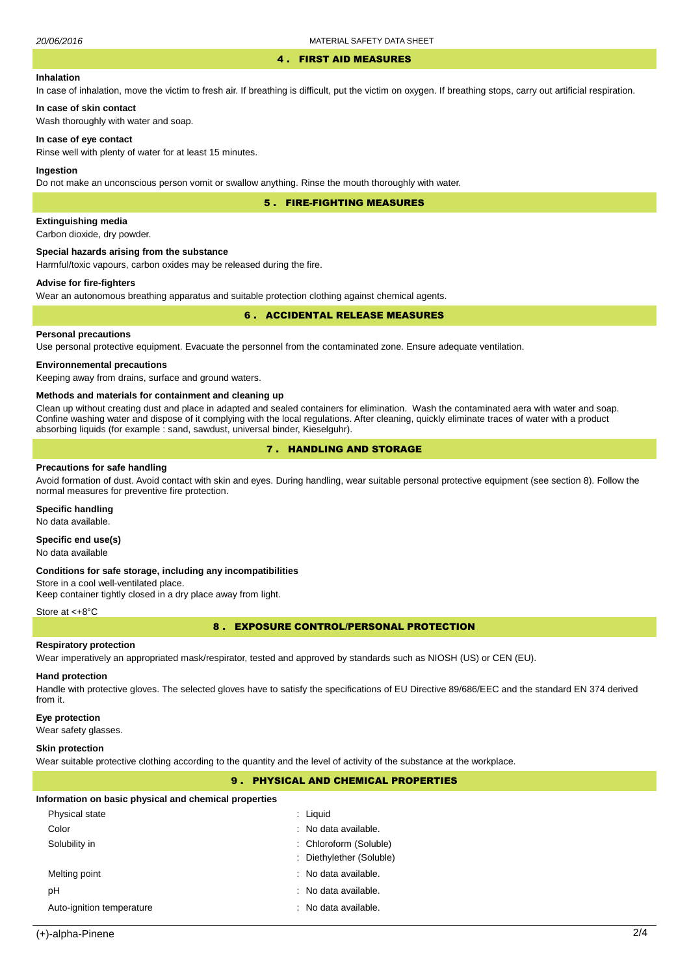#### 4 . FIRST AID MEASURES

## **Inhalation**

In case of inhalation, move the victim to fresh air. If breathing is difficult, put the victim on oxygen. If breathing stops, carry out artificial respiration.

**In case of skin contact** Wash thoroughly with water and soap.

## **In case of eye contact**

Rinse well with plenty of water for at least 15 minutes.

### **Ingestion**

Do not make an unconscious person vomit or swallow anything. Rinse the mouth thoroughly with water.

5 . FIRE-FIGHTING MEASURES

## **Extinguishing media**

Carbon dioxide, dry powder.

#### **Special hazards arising from the substance**

Harmful/toxic vapours, carbon oxides may be released during the fire.

## **Advise for fire-fighters**

Wear an autonomous breathing apparatus and suitable protection clothing against chemical agents.

## 6 . ACCIDENTAL RELEASE MEASURES

## **Personal precautions**

Use personal protective equipment. Evacuate the personnel from the contaminated zone. Ensure adequate ventilation.

## **Environnemental precautions**

Keeping away from drains, surface and ground waters.

#### **Methods and materials for containment and cleaning up**

Clean up without creating dust and place in adapted and sealed containers for elimination. Wash the contaminated aera with water and soap. Confine washing water and dispose of it complying with the local regulations. After cleaning, quickly eliminate traces of water with a product absorbing liquids (for example : sand, sawdust, universal binder, Kieselguhr).

## 7 . HANDLING AND STORAGE

#### **Precautions for safe handling**

Avoid formation of dust. Avoid contact with skin and eyes. During handling, wear suitable personal protective equipment (see section 8). Follow the normal measures for preventive fire protection.

### **Specific handling**

No data available.

## **Specific end use(s)**

No data available

#### **Conditions for safe storage, including any incompatibilities**

Store in a cool well-ventilated place. Keep container tightly closed in a dry place away from light.

#### Store at <+8°C

8 . EXPOSURE CONTROL/PERSONAL PROTECTION

## **Respiratory protection**

Wear imperatively an appropriated mask/respirator, tested and approved by standards such as NIOSH (US) or CEN (EU).

## **Hand protection**

Handle with protective gloves. The selected gloves have to satisfy the specifications of EU Directive 89/686/EEC and the standard EN 374 derived from it.

## **Eye protection**

Wear safety glasses.

## **Skin protection**

Wear suitable protective clothing according to the quantity and the level of activity of the substance at the workplace.

## 9 . PHYSICAL AND CHEMICAL PROPERTIES

#### **Information on basic physical and chemical properties**

| Physical state            | $:$ Liquid               |
|---------------------------|--------------------------|
| Color                     | : No data available.     |
| Solubility in             | : Chloroform (Soluble)   |
|                           | : Diethylether (Soluble) |
| Melting point             | : No data available.     |
| рH                        | : No data available.     |
| Auto-ignition temperature | : No data available.     |
|                           |                          |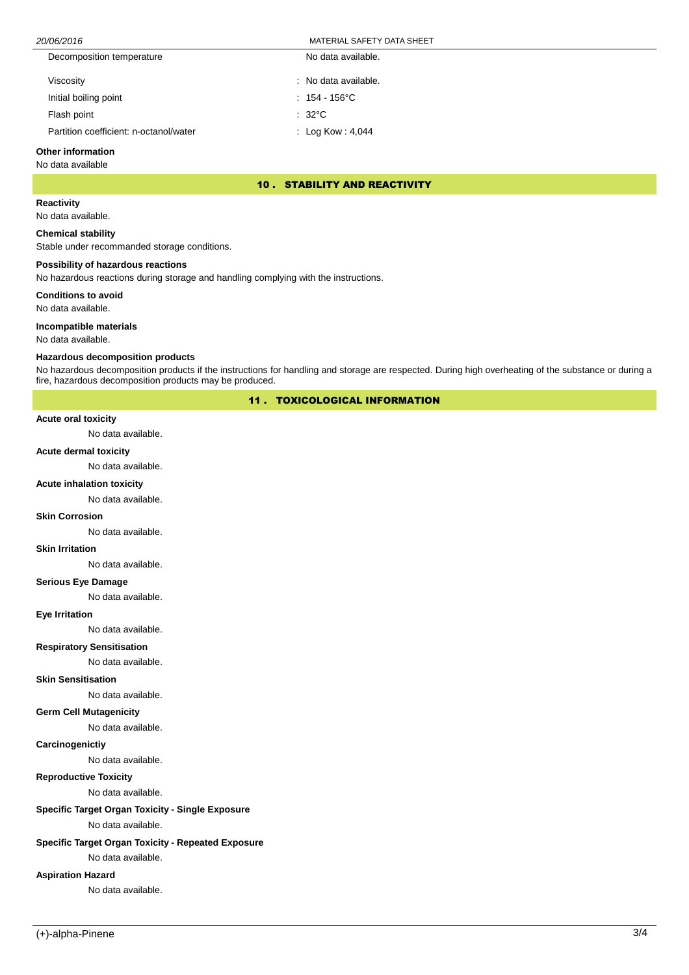## 20/06/2016 MATERIAL SAFETY DATA SHEET

| Decomposition temperature              | No data available.      |
|----------------------------------------|-------------------------|
| Viscosity                              | : No data available.    |
| Initial boiling point                  | $: 154 - 156^{\circ}$ C |
| Flash point                            | $: 32^{\circ}$ C        |
| Partition coefficient: n-octanol/water | : Log Kow: $4,044$      |

#### **Other information**

No data available

## 10 . STABILITY AND REACTIVITY

**Reactivity**

No data available.

## **Chemical stability**

Stable under recommanded storage conditions.

## **Possibility of hazardous reactions**

No hazardous reactions during storage and handling complying with the instructions.

## **Conditions to avoid**

No data available.

## **Incompatible materials**

No data available.

#### **Hazardous decomposition products**

No hazardous decomposition products if the instructions for handling and storage are respected. During high overheating of the substance or during a fire, hazardous decomposition products may be produced.

## 11 . TOXICOLOGICAL INFORMATION

#### **Acute oral toxicity**

No data available.

#### **Acute dermal toxicity**

No data available.

## **Acute inhalation toxicity**

No data available.

#### **Skin Corrosion**

No data available.

#### **Skin Irritation**

No data available.

#### **Serious Eye Damage**

No data available.

## **Eye Irritation**

No data available.

## **Respiratory Sensitisation**

No data available.

#### **Skin Sensitisation**

No data available.

#### **Germ Cell Mutagenicity**

No data available.

#### **Carcinogenictiy**

No data available.

## **Reproductive Toxicity**

No data available.

## **Specific Target Organ Toxicity - Single Exposure**

No data available.

## **Specific Target Organ Toxicity - Repeated Exposure**

No data available.

## **Aspiration Hazard**

No data available.